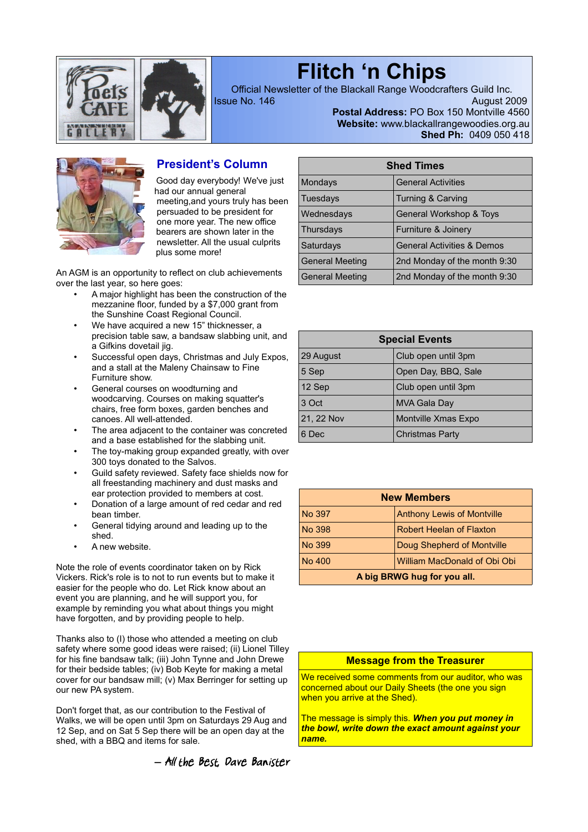

# **Flitch 'n Chips**

Official Newsletter of the Blackall Range Woodcrafters Guild Inc. **Issue No. 146** August 2009

**Postal Address:** PO Box 150 Montville 4560 **Website:** www.blackallrangewoodies.org.au **Shed Ph:** 0409 050 418



## **President's Column**

Good day everybody! We've just had our annual general meeting,and yours truly has been persuaded to be president for one more year. The new office bearers are shown later in the newsletter. All the usual culprits plus some more!

An AGM is an opportunity to reflect on club achievements over the last year, so here goes:

- A major highlight has been the construction of the mezzanine floor, funded by a \$7,000 grant from the Sunshine Coast Regional Council.
- We have acquired a new 15" thicknesser, a precision table saw, a bandsaw slabbing unit, and a Gifkins dovetail jig.
- Successful open days, Christmas and July Expos, and a stall at the Maleny Chainsaw to Fine Furniture show.
- General courses on woodturning and woodcarving. Courses on making squatter's chairs, free form boxes, garden benches and canoes. All well-attended.
- The area adjacent to the container was concreted and a base established for the slabbing unit.
- The toy-making group expanded greatly, with over 300 toys donated to the Salvos.
- Guild safety reviewed. Safety face shields now for all freestanding machinery and dust masks and ear protection provided to members at cost.
- Donation of a large amount of red cedar and red bean timber.
- General tidying around and leading up to the shed.
- A new website.

Note the role of events coordinator taken on by Rick Vickers. Rick's role is to not to run events but to make it easier for the people who do. Let Rick know about an event you are planning, and he will support you, for example by reminding you what about things you might have forgotten, and by providing people to help.

Thanks also to (I) those who attended a meeting on club safety where some good ideas were raised; (ii) Lionel Tilley for his fine bandsaw talk; (iii) John Tynne and John Drewe for their bedside tables; (iv) Bob Keyte for making a metal cover for our bandsaw mill; (v) Max Berringer for setting up our new PA system.

Don't forget that, as our contribution to the Festival of Walks, we will be open until 3pm on Saturdays 29 Aug and 12 Sep, and on Sat 5 Sep there will be an open day at the shed, with a BBQ and items for sale.



| <b>Shed Times</b>      |                                       |  |  |  |
|------------------------|---------------------------------------|--|--|--|
| Mondays                | <b>General Activities</b>             |  |  |  |
| Tuesdays               | Turning & Carving                     |  |  |  |
| Wednesdays             | General Workshop & Toys               |  |  |  |
| Thursdays              | Furniture & Joinery                   |  |  |  |
| Saturdays              | <b>General Activities &amp; Demos</b> |  |  |  |
| <b>General Meeting</b> | 2nd Monday of the month 9:30          |  |  |  |
| <b>General Meeting</b> | 2nd Monday of the month 9:30          |  |  |  |

| <b>Special Events</b> |                        |  |  |
|-----------------------|------------------------|--|--|
| 29 August             | Club open until 3pm    |  |  |
| 5 Sep                 | Open Day, BBQ, Sale    |  |  |
| 12 Sep                | Club open until 3pm    |  |  |
| 3 Oct                 | <b>MVA Gala Day</b>    |  |  |
| 21, 22 Nov            | Montville Xmas Expo    |  |  |
| 6 Dec                 | <b>Christmas Party</b> |  |  |

| <b>New Members</b>                            |                                 |  |  |  |
|-----------------------------------------------|---------------------------------|--|--|--|
| <b>Anthony Lewis of Montville</b><br>No 397   |                                 |  |  |  |
| No 398                                        | <b>Robert Heelan of Flaxton</b> |  |  |  |
| No 399<br>Doug Shepherd of Montville          |                                 |  |  |  |
| William MacDonald of Obi Obi<br><b>No 400</b> |                                 |  |  |  |
| A big BRWG hug for you all.                   |                                 |  |  |  |

#### **Message from the Treasurer**

We received some comments from our auditor, who was concerned about our Daily Sheets (the one you sign when you arrive at the Shed).

The message is simply this. *When you put money in the bowl, write down the exact amount against your name.*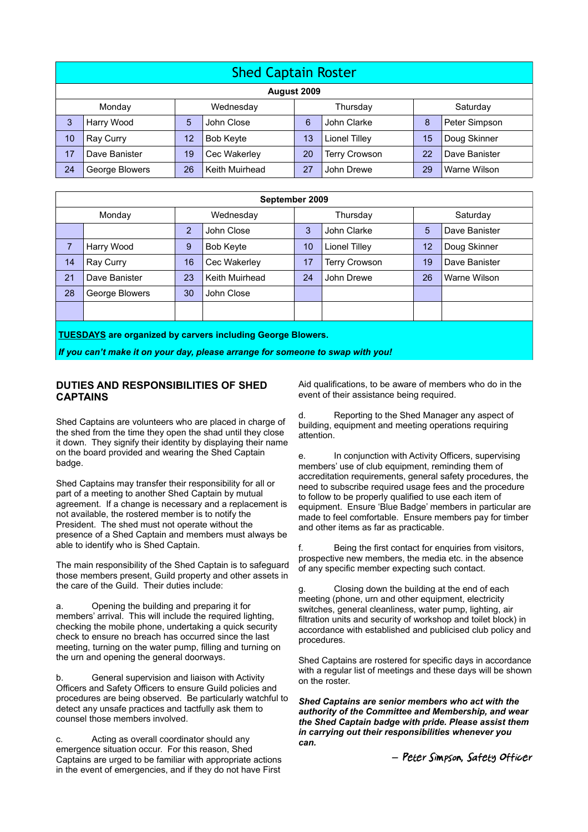| <b>Shed Captain Roster</b> |                  |           |                  |          |                      |                 |               |
|----------------------------|------------------|-----------|------------------|----------|----------------------|-----------------|---------------|
| August 2009                |                  |           |                  |          |                      |                 |               |
|                            | Monday           | Wednesday |                  | Thursday |                      | Saturday        |               |
| 3                          | Harry Wood       | 5         | John Close       | 6        | John Clarke          | 8               | Peter Simpson |
| 10                         | <b>Ray Curry</b> | 12        | <b>Bob Keyte</b> | 13       | Lionel Tilley        | 15 <sub>1</sub> | Doug Skinner  |
| 17                         | Dave Banister    | 19        | Cec Wakerley     | 20       | <b>Terry Crowson</b> | 22              | Dave Banister |
| 24                         | George Blowers   | 26        | Keith Muirhead   | 27       | John Drewe           | 29              | Warne Wilson  |

| September 2009                                                     |                |           |                |          |                      |          |               |
|--------------------------------------------------------------------|----------------|-----------|----------------|----------|----------------------|----------|---------------|
|                                                                    | Monday         | Wednesday |                | Thursday |                      | Saturday |               |
|                                                                    |                | 2         | John Close     | 3        | John Clarke          | 5        | Dave Banister |
| 7                                                                  | Harry Wood     | 9         | Bob Keyte      | 10       | Lionel Tilley        | 12       | Doug Skinner  |
| 14                                                                 | Ray Curry      | 16        | Cec Wakerley   | 17       | <b>Terry Crowson</b> | 19       | Dave Banister |
| 21                                                                 | Dave Banister  | 23        | Keith Muirhead | 24       | John Drewe           | 26       | Warne Wilson  |
| 28                                                                 | George Blowers | 30        | John Close     |          |                      |          |               |
|                                                                    |                |           |                |          |                      |          |               |
| <b>TUESDAYS are organized by carvers including George Blowers.</b> |                |           |                |          |                      |          |               |

*If you can't make it on your day, please arrange for someone to swap with you!*

#### **DUTIES AND RESPONSIBILITIES OF SHED CAPTAINS**

Shed Captains are volunteers who are placed in charge of the shed from the time they open the shad until they close it down. They signify their identity by displaying their name on the board provided and wearing the Shed Captain badge.

Shed Captains may transfer their responsibility for all or part of a meeting to another Shed Captain by mutual agreement. If a change is necessary and a replacement is not available, the rostered member is to notify the President. The shed must not operate without the presence of a Shed Captain and members must always be able to identify who is Shed Captain.

The main responsibility of the Shed Captain is to safeguard those members present, Guild property and other assets in the care of the Guild. Their duties include:

a. Opening the building and preparing it for members' arrival. This will include the required lighting, checking the mobile phone, undertaking a quick security check to ensure no breach has occurred since the last meeting, turning on the water pump, filling and turning on the urn and opening the general doorways.

b. General supervision and liaison with Activity Officers and Safety Officers to ensure Guild policies and procedures are being observed. Be particularly watchful to detect any unsafe practices and tactfully ask them to counsel those members involved.

c. Acting as overall coordinator should any emergence situation occur. For this reason, Shed Captains are urged to be familiar with appropriate actions in the event of emergencies, and if they do not have First

Aid qualifications, to be aware of members who do in the event of their assistance being required.

d. Reporting to the Shed Manager any aspect of building, equipment and meeting operations requiring attention.

e. In conjunction with Activity Officers, supervising members' use of club equipment, reminding them of accreditation requirements, general safety procedures, the need to subscribe required usage fees and the procedure to follow to be properly qualified to use each item of equipment. Ensure 'Blue Badge' members in particular are made to feel comfortable. Ensure members pay for timber and other items as far as practicable.

f. Being the first contact for enquiries from visitors, prospective new members, the media etc. in the absence of any specific member expecting such contact.

g. Closing down the building at the end of each meeting (phone, urn and other equipment, electricity switches, general cleanliness, water pump, lighting, air filtration units and security of workshop and toilet block) in accordance with established and publicised club policy and procedures.

Shed Captains are rostered for specific days in accordance with a regular list of meetings and these days will be shown on the roster.

*Shed Captains are senior members who act with the authority of the Committee and Membership, and wear the Shed Captain badge with pride. Please assist them in carrying out their responsibilities whenever you can.* 

*―* Peter Simpson, Safety Officer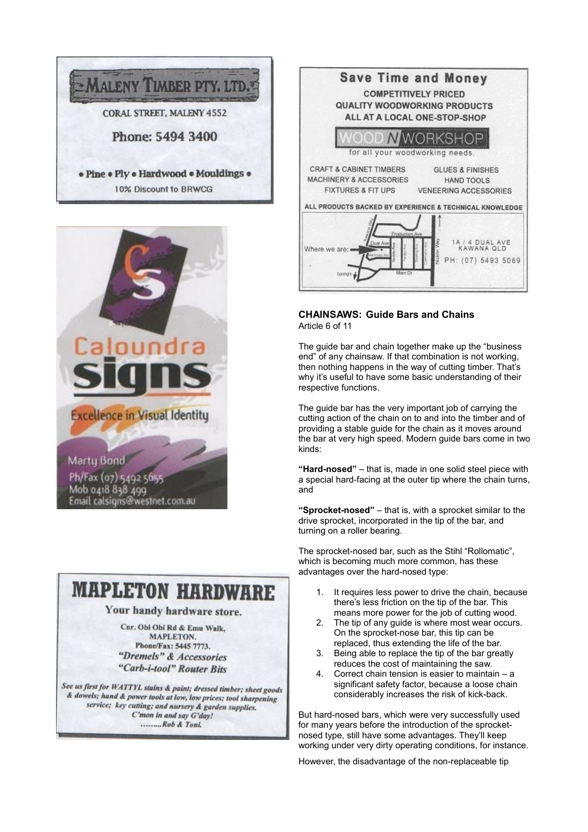



## **MAPLETON HARDWARF.**

## Your handy hardware store.

Car. Obi Obi Rd & Emu Walk, **MAPLETON** Phone/Fax: 5445 7773. "Dremels" & Accessories "Carb-i-tool" Router Bits

See us first for WATTYL stains & paint; dressed timber; sheet goods & dowels; hand & power tools at low, low prices; tool sharpening service; key cutting; and nursery & garden supplies. C'mon in and say G'day! .........Rob & Toni.



#### **CHAINSAWS: Guide Bars and Chains** Article 6 of 11

The guide bar and chain together make up the "business end" of any chainsaw. If that combination is not working, then nothing happens in the way of cutting timber. That's why it's useful to have some basic understanding of their respective functions.

The guide bar has the very important job of carrying the cutting action of the chain on to and into the timber and of providing a stable guide for the chain as it moves around the bar at very high speed. Modern guide bars come in two kinds:

**"Hard-nosed"** – that is, made in one solid steel piece with a special hard-facing at the outer tip where the chain turns, and

**"Sprocket-nosed"** – that is, with a sprocket similar to the drive sprocket, incorporated in the tip of the bar, and turning on a roller bearing.

The sprocket-nosed bar, such as the Stihl "Rollomatic", which is becoming much more common, has these advantages over the hard-nosed type:

- 1. It requires less power to drive the chain, because there's less friction on the tip of the bar. This means more power for the job of cutting wood.
- 2. The tip of any guide is where most wear occurs. On the sprocket-nose bar, this tip can be replaced, thus extending the life of the bar.
- 3. Being able to replace the tip of the bar greatly reduces the cost of maintaining the saw.
- 4. Correct chain tension is easier to maintain a significant safety factor, because a loose chain considerably increases the risk of kick-back.

But hard-nosed bars, which were very successfully used for many years before the introduction of the sprocketnosed type, still have some advantages. They'll keep working under very dirty operating conditions, for instance.

However, the disadvantage of the non-replaceable tip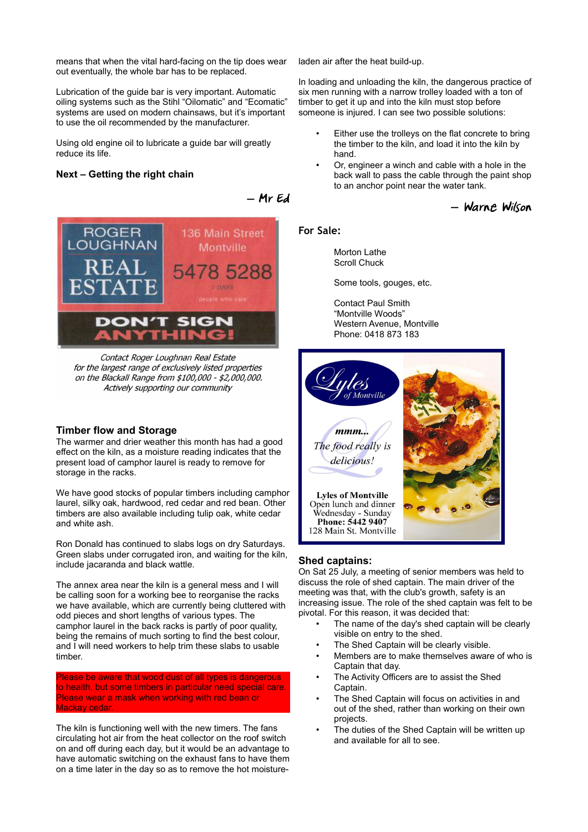means that when the vital hard-facing on the tip does wear out eventually, the whole bar has to be replaced.

Lubrication of the guide bar is very important. Automatic oiling systems such as the Stihl "Oilomatic" and "Ecomatic" systems are used on modern chainsaws, but it's important to use the oil recommended by the manufacturer.

Using old engine oil to lubricate a guide bar will greatly reduce its life.

#### **Next – Getting the right chain**



Contact Roger Loughnan Real Estate for the largest range of exclusively listed properties on the Blackall Range from \$100,000 - \$2,000,000. Actively supporting our community

#### **Timber flow and Storage**

The warmer and drier weather this month has had a good effect on the kiln, as a moisture reading indicates that the present load of camphor laurel is ready to remove for storage in the racks.

We have good stocks of popular timbers including camphor laurel, silky oak, hardwood, red cedar and red bean. Other timbers are also available including tulip oak, white cedar and white ash.

Ron Donald has continued to slabs logs on dry Saturdays. Green slabs under corrugated iron, and waiting for the kiln, include jacaranda and black wattle.

The annex area near the kiln is a general mess and I will be calling soon for a working bee to reorganise the racks we have available, which are currently being cluttered with odd pieces and short lengths of various types. The camphor laurel in the back racks is partly of poor quality, being the remains of much sorting to find the best colour, and I will need workers to help trim these slabs to usable timber.

Please be aware that wood dust of all types is dangerous to health, but some timbers in particular need special care. Please wear a mask when working with red bean or Mackay cedar.

The kiln is functioning well with the new timers. The fans circulating hot air from the heat collector on the roof switch on and off during each day, but it would be an advantage to have automatic switching on the exhaust fans to have them on a time later in the day so as to remove the hot moisture-

laden air after the heat build-up.

In loading and unloading the kiln, the dangerous practice of six men running with a narrow trolley loaded with a ton of timber to get it up and into the kiln must stop before someone is injured. I can see two possible solutions:

- Either use the trolleys on the flat concrete to bring the timber to the kiln, and load it into the kiln by hand.
- Or, engineer a winch and cable with a hole in the back wall to pass the cable through the paint shop to an anchor point near the water tank.

### *―* Warne Wilson

#### **For Sale:**

*―* Mr Ed

Morton Lathe Scroll Chuck

Some tools, gouges, etc.

Contact Paul Smith "Montville Woods" Western Avenue, Montville Phone: 0418 873 183



#### **Shed captains:**

On Sat 25 July, a meeting of senior members was held to discuss the role of shed captain. The main driver of the meeting was that, with the club's growth, safety is an increasing issue. The role of the shed captain was felt to be pivotal. For this reason, it was decided that:

- The name of the day's shed captain will be clearly visible on entry to the shed.
- The Shed Captain will be clearly visible.
- Members are to make themselves aware of who is Captain that day.
- The Activity Officers are to assist the Shed Captain.
- The Shed Captain will focus on activities in and out of the shed, rather than working on their own projects.
- The duties of the Shed Captain will be written up and available for all to see.